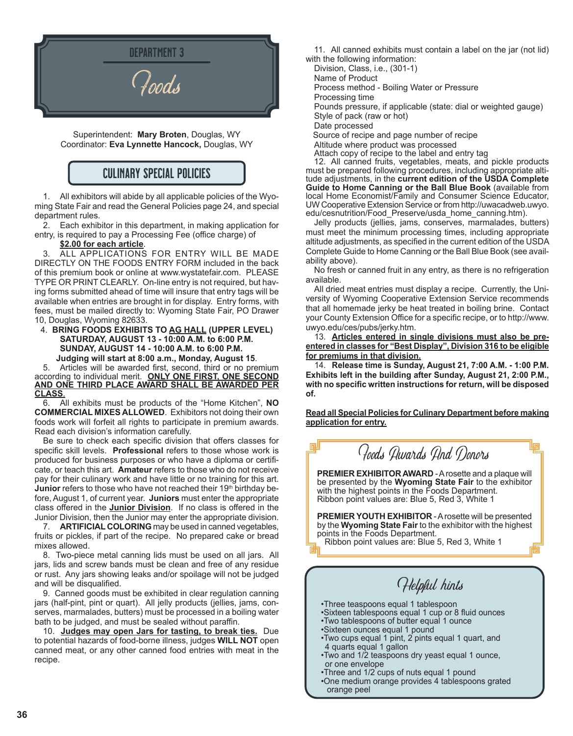

Superintendent: **Mary Broten**, Douglas, WY Coordinator: **Eva Lynnette Hancock,** Douglas, WY

### CULINARY SPECIAL POLICIES

1. All exhibitors will abide by all applicable policies of the Wyoming State Fair and read the General Policies page 24, and special department rules.

2. Each exhibitor in this department, in making application for entry, is required to pay a Processing Fee (office charge) of

**\$2.00 for each article**.

ALL APPLICATIONS FOR ENTRY WILL BE MADE DIRECTLY ON THE FOODS ENTRY FORM included in the back of this premium book or online at www.wystatefair.com. PLEASE TYPE OR PRINT CLEARLY. On-line entry is not required, but having forms submitted ahead of time will insure that entry tags will be available when entries are brought in for display. Entry forms, with fees, must be mailed directly to: Wyoming State Fair, PO Drawer 10, Douglas, Wyoming 82633.

#### 4. **BRING FOODS EXHIBITS TO AG HALL (UPPER LEVEL) SATURDAY, AUGUST 13 - 10:00 A.M. to 6:00 P.M. SUNDAY, AUGUST 14 - 10:00 A.M. to 6:00 P.M.**

**Judging will start at 8:00 a.m., Monday, August 15**.

5. Articles will be awarded first, second, third or no premium according to individual merit. **ONLY ONE FIRST, ONE SECOND AND ONE THIRD PLACE AWARD SHALL BE AWARDED PER CLASS**.

6. All exhibits must be products of the "Home Kitchen", **NO COMMERCIAL MIXES ALLOWED**. Exhibitors not doing their own foods work will forfeit all rights to participate in premium awards. Read each division's information carefully.

Be sure to check each specific division that offers classes for specific skill levels. **Professional** refers to those whose work is produced for business purposes or who have a diploma or certificate, or teach this art. **Amateur** refers to those who do not receive pay for their culinary work and have little or no training for this art. **Junior** refers to those who have not reached their 19<sup>th</sup> birthday before, August 1, of current year. **Juniors** must enter the appropriate class offered in the **Junior Division**. If no class is offered in the Junior Division, then the Junior may enter the appropriate division.

7. **ARTIFICIAL COLORING** may be used in canned vegetables, fruits or pickles, if part of the recipe. No prepared cake or bread mixes allowed.

8. Two-piece metal canning lids must be used on all jars. All jars, lids and screw bands must be clean and free of any residue or rust. Any jars showing leaks and/or spoilage will not be judged and will be disqualified.

9. Canned goods must be exhibited in clear regulation canning jars (half-pint, pint or quart). All jelly products (jellies, jams, conserves, marmalades, butters) must be processed in a boiling water bath to be judged, and must be sealed without paraffin.

10. **Judges may open Jars for tasting, to break ties.** Due to potential hazards of food-borne illness, judges **WILL NOT** open canned meat, or any other canned food entries with meat in the recipe.

11. All canned exhibits must contain a label on the jar (not lid) with the following information:

Division, Class, i.e., (301-1) Name of Product Process method - Boiling Water or Pressure Processing time Pounds pressure, if applicable (state: dial or weighted gauge) Style of pack (raw or hot) Date processed Source of recipe and page number of recipe Altitude where product was processed

Attach copy of recipe to the label and entry tag

12. All canned fruits, vegetables, meats, and pickle products must be prepared following procedures, including appropriate altitude adjustments, in the **current edition of the USDA Complete Guide to Home Canning or the Ball Blue Book** (available from local Home Economist/Family and Consumer Science Educator, UW Cooperative Extension Service or from http://uwacadweb.uwyo. edu/cesnutrition/Food\_Preserve/usda\_home\_canning.htm).

Jelly products (jellies, jams, conserves, marmalades, butters) must meet the minimum processing times, including appropriate altitude adjustments, as specified in the current edition of the USDA Complete Guide to Home Canning or the Ball Blue Book (see availability above).

No fresh or canned fruit in any entry, as there is no refrigeration available.

All dried meat entries must display a recipe. Currently, the University of Wyoming Cooperative Extension Service recommends that all homemade jerky be heat treated in boiling brine. Contact your County Extension Office for a specific recipe, or to http://www. uwyo.edu/ces/pubs/jerky.htm.

13. **Articles entered in single divisions must also be preentered in classes for "Best Display", Division 316 to be eligible for premiums in that division.**

14. **Release time is Sunday, August 21, 7:00 A.M. - 1:00 P.M. Exhibits left in the building after Sunday, August 21, 2:00 P.M., with no specific written instructions for return, will be disposed of.**

**Read all Special Policies for Culinary Department before making application for entry.**

Foods Awards And Donors

**PREMIER EXHIBITOR AWARD** - A rosette and a plaque will be presented by the **Wyoming State Fair** to the exhibitor with the highest points in the Foods Department. Ribbon point values are: Blue 5, Red 3, White 1

**PREMIER YOUTH EXHIBITOR** -A rosette will be presented by the **Wyoming State Fair** to the exhibitor with the highest points in the Foods Department.

Ribbon point values are: Blue 5, Red 3, White 1

Helpful hints

- •Three teaspoons equal 1 tablespoon
- •Sixteen tablespoons equal 1 cup or 8 fluid ounces
- •Two tablespoons of butter equal 1 ounce
- •Sixteen ounces equal 1 pound
- •Two cups equal 1 pint, 2 pints equal 1 quart, and 4 quarts equal 1 gallon
- •Two and 1/2 teaspoons dry yeast equal 1 ounce, or one envelope
- •Three and 1/2 cups of nuts equal 1 pound
- •One medium orange provides 4 tablespoons grated orange peel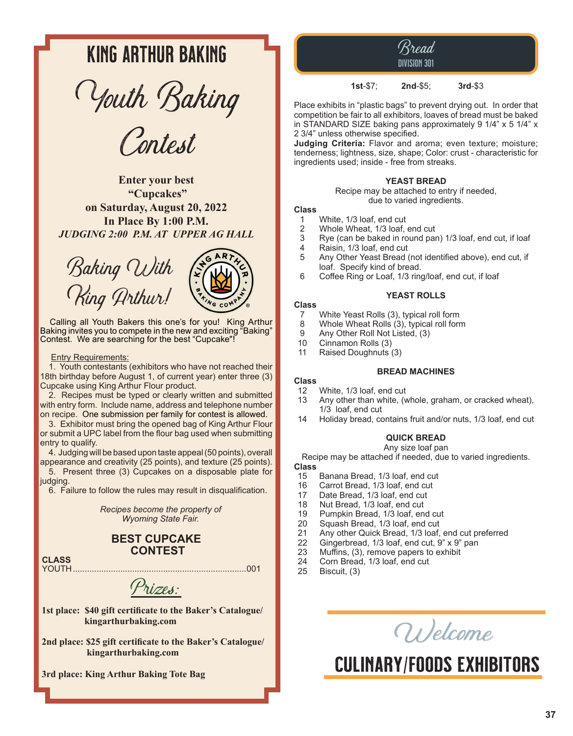## KING ARTHUR baking

Youth Baking

Contest

**Enter your best "Cupcakes" on Saturday, August 20, 2022 In Place By 1:00 P.M.** *JUDGING 2:00 P.M. AT UPPER AG HALL*





Calling all Youth Bakers this one's for you! King Arthur Baking invites you to compete in the new and exciting "Baking" Contest. We are searching for the best "Cupcake"!

#### Entry Requirements:

1. Youth contestants (exhibitors who have not reached their 18th birthday before August 1, of current year) enter three (3) Cupcake using King Arthur Flour product.

2. Recipes must be typed or clearly written and submitted with entry form. Include name, address and telephone number on recipe. One submission per family for contest is allowed.

3. Exhibitor must bring the opened bag of King Arthur Flour or submit a UPC label from the flour bag used when submitting entry to qualify.

4. Judging will be based upon taste appeal (50 points), overall appearance and creativity (25 points), and texture (25 points).

5. Present three (3) Cupcakes on a disposable plate for judging.

6. Failure to follow the rules may result in disqualification.

*Recipes become the property of Wyoming State Fair.*

#### **BEST CUPCAKE CONTEST**

**CLASS** YOUTH.........................................................................001

Prizes:

**1st place: \$40 gift certificate to the Baker's Catalogue/ kingarthurbaking.com** 

**2nd place: \$25 gift certificate to the Baker's Catalogue/ kingarthurbaking.com**

**3rd place: King Arthur Baking Tote Bag**

Bread DIVISION 301

**1st**-\$7; **2nd**-\$5; **3rd**-\$3

Place exhibits in "plastic bags" to prevent drying out. In order that competition be fair to all exhibitors, loaves of bread must be baked in STANDARD SIZE baking pans approximately 9 1/4" x 5 1/4" x 2 3/4" unless otherwise specified.

**Judging Criteria:** Flavor and aroma; even texture; moisture; tenderness; lightness, size, shape; Color: crust - characteristic for ingredients used; inside - free from streaks.

#### **YEAST BREAD**

Recipe may be attached to entry if needed, due to varied ingredients.

#### **Class**

- 1 White, 1/3 loaf, end cut<br>2 Whole Wheat, 1/3 loaf,
- 2 Whole Wheat, 1/3 loaf, end cut<br>3 Rye (can be baked in round par
- Rye (can be baked in round pan) 1/3 loaf, end cut, if loaf
- 4 Raisin, 1/3 loaf, end cut
- 5 Any Other Yeast Bread (not identified above), end cut, if loaf. Specify kind of bread.<br>6 Coffee Ring or Loaf. 1/3 ring
- Coffee Ring or Loaf, 1/3 ring/loaf, end cut, if loaf

#### **YEAST ROLLS**

#### **Class**

- 7 White Yeast Rolls (3), typical roll form<br>8 Whole Wheat Rolls (3), typical roll form
- 8 Whole Wheat Rolls (3), typical roll form<br>9 Any Other Roll Not Listed. (3)
- Any Other Roll Not Listed, (3)
- 10 Cinnamon Rolls (3)
- 11 Raised Doughnuts (3)

#### **BREAD MACHINES**

## **Class**

- 12 White, 1/3 loaf, end cut<br>13 Any other than white. (w Any other than white, (whole, graham, or cracked wheat), 1/3 loaf, end cut
- 14 Holiday bread, contains fruit and/or nuts, 1/3 loaf, end cut

#### **QUICK BREAD**

Any size loaf pan Recipe may be attached if needed, due to varied ingredients.

- **Class**
- 15 Banana Bread, 1/3 loaf, end cut<br>16 Carrot Bread, 1/3 loaf, end cut
- 16 Carrot Bread, 1/3 loaf, end cut<br>17 Date Bread, 1/3 loaf, end cut
- Date Bread, 1/3 loaf, end cut
- 18 Nut Bread, 1/3 loaf, end cut
- 19 Pumpkin Bread, 1/3 loaf, end cut<br>20 Squash Bread, 1/3 loaf, end cut
- 20 Squash Bread, 1/3 loaf, end cut<br>21 Any other Quick Bread, 1/3 loaf.
- 21 Any other Quick Bread, 1/3 loaf, end cut preferred<br>22 Gingerbread, 1/3 loaf, end cut, 9" x 9" pan
- 22 Gingerbread,  $1/3$  loaf, end cut,  $9" \times 9"$  pan 23 Muffins. (3), remove papers to exhibit
- 23 Muffins, (3), remove papers to exhibit<br>24 Corn Bread, 1/3 loaf, end cut
- 24 Corn Bread, 1/3 loaf, end cut<br>25 Biscuit (3)
- Biscuit, (3)

Wel<sup>c</sup>om<sup>e</sup>

# Culinary/foods exhibitors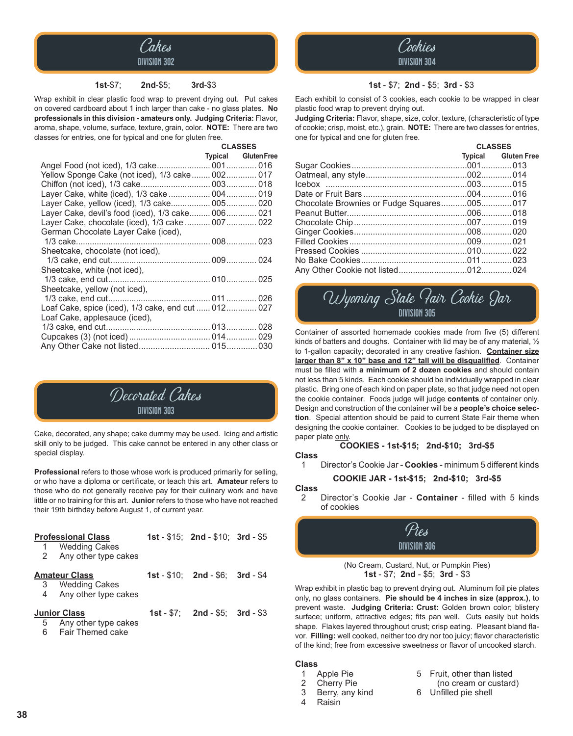

#### **1st**-\$7; **2nd**-\$5; **3rd**-\$3

Wrap exhibit in clear plastic food wrap to prevent drying out. Put cakes on covered cardboard about 1 inch larger than cake - no glass plates. **No professionals in this division - amateurs only. Judging Criteria:** Flavor, aroma, shape, volume, surface, texture, grain, color. **NOTE:** There are two classes for entries, one for typical and one for gluten free.

|                                                     | <b>CLASSES</b>             |
|-----------------------------------------------------|----------------------------|
|                                                     | <b>Typical Gluten Free</b> |
|                                                     |                            |
| Yellow Sponge Cake (not iced), 1/3 cake 002 017     |                            |
|                                                     |                            |
| Layer Cake, white (iced), 1/3 cake  004  019        |                            |
| Layer Cake, yellow (iced), 1/3 cake 005 020         |                            |
| Layer Cake, devil's food (iced), 1/3 cake 006 021   |                            |
| Layer Cake, chocolate (iced), 1/3 cake  007  022    |                            |
| German Chocolate Layer Cake (iced),                 |                            |
|                                                     |                            |
| Sheetcake, chocolate (not iced),                    |                            |
|                                                     |                            |
| Sheetcake, white (not iced),                        |                            |
|                                                     |                            |
| Sheetcake, yellow (not iced),                       |                            |
|                                                     |                            |
| Loaf Cake, spice (iced), 1/3 cake, end cut  012 027 |                            |
| Loaf Cake, applesauce (iced),                       |                            |
|                                                     |                            |
|                                                     |                            |
|                                                     |                            |
|                                                     |                            |



Cake, decorated, any shape; cake dummy may be used. Icing and artistic skill only to be judged. This cake cannot be entered in any other class or special display.

**Professional** refers to those whose work is produced primarily for selling, or who have a diploma or certificate, or teach this art. **Amateur** refers to those who do not generally receive pay for their culinary work and have little or no training for this art. **Junior** refers to those who have not reached their 19th birthday before August 1, of current year.

|                     | <b>Professional Class</b> | 1st - $$15$ ; 2nd - $$10$ ; 3rd - $$5$ |  |
|---------------------|---------------------------|----------------------------------------|--|
|                     | 1 Wedding Cakes           |                                        |  |
|                     | 2 Any other type cakes    |                                        |  |
|                     | <b>Amateur Class</b>      | $1st - $10$ : $2nd - $6$ : $3rd - $4$  |  |
|                     | 3 Wedding Cakes           |                                        |  |
|                     | 4 Any other type cakes    |                                        |  |
| <b>Junior Class</b> |                           | $1st - $7: 2nd - $5: 3rd - $3$         |  |
|                     | 5 Any other type cakes    |                                        |  |
|                     | 6 Fair Themed cake        |                                        |  |



#### **1st** - \$7; **2nd** - \$5; **3rd** - \$3

Each exhibit to consist of 3 cookies, each cookie to be wrapped in clear plastic food wrap to prevent drying out.

**Judging Criteria:** Flavor, shape, size, color, texture, (characteristic of type of cookie; crisp, moist, etc.), grain. **NOTE:** There are two classes for entries, one for typical and one for gluten free.

|                                           | <b>CLASSES</b> |                            |  |
|-------------------------------------------|----------------|----------------------------|--|
|                                           |                | <b>Typical Gluten Free</b> |  |
|                                           |                |                            |  |
|                                           |                |                            |  |
|                                           |                |                            |  |
|                                           |                |                            |  |
| Chocolate Brownies or Fudge Squares005017 |                |                            |  |
|                                           |                |                            |  |
|                                           |                |                            |  |
|                                           |                |                            |  |
|                                           |                |                            |  |
|                                           |                |                            |  |
|                                           |                |                            |  |
|                                           |                |                            |  |
|                                           |                |                            |  |

### Wyoming State Pair Cookie Jar DIVISION 305

Container of assorted homemade cookies made from five (5) different kinds of batters and doughs. Container with lid may be of any material, ½ to 1-gallon capacity; decorated in any creative fashion. **Container size larger than 8" x 10" base and 12" tall will be disqualified**. Container must be filled with **a minimum of 2 dozen cookies** and should contain not less than 5 kinds. Each cookie should be individually wrapped in clear plastic. Bring one of each kind on paper plate, so that judge need not open the cookie container. Foods judge will judge **contents** of container only. Design and construction of the container will be a **people's choice selection**. Special attention should be paid to current State Fair theme when designing the cookie container. Cookies to be judged to be displayed on paper plate only.

#### **COOKIES - 1st-\$15; 2nd-\$10; 3rd-\$5**

#### **Class**

1 Director's Cookie Jar - **Cookies** - minimum 5 different kinds

**COOKIE JAR - 1st-\$15; 2nd-\$10; 3rd-\$5**

#### **Class**

2 Director's Cookie Jar - **Container** - filled with 5 kinds of cookies



(No Cream, Custard, Nut, or Pumpkin Pies) **1st** - \$7; **2nd** - \$5; **3rd** - \$3

Wrap exhibit in plastic bag to prevent drying out. Aluminum foil pie plates only, no glass containers. **Pie should be 4 inches in size (approx.)**, to prevent waste. **Judging Criteria: Crust:** Golden brown color; blistery surface; uniform, attractive edges; fits pan well. Cuts easily but holds shape. Flakes layered throughout crust; crisp eating. Pleasant bland flavor. **Filling:** well cooked, neither too dry nor too juicy; flavor characteristic of the kind; free from excessive sweetness or flavor of uncooked starch.

#### **Class**

- 
- 
- **Raisin**
- 1 Apple Pie 5 Fruit, other than listed<br>2 Cherry Pie 6 (no cream or custard
- 2 Cherry Pie (no cream or custard)<br>3 Berry, any kind 6 Unfilled pie shell
- 3 Berry, any kind 6 Unfilled pie shell<br>4 Raisin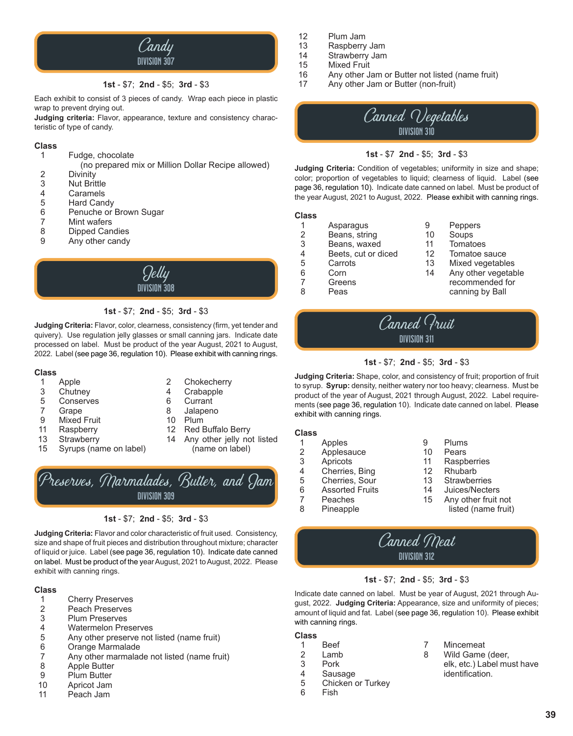

#### **1st** - \$7; **2nd** - \$5; **3rd** - \$3

Each exhibit to consist of 3 pieces of candy. Wrap each piece in plastic wrap to prevent drying out.

**Judging criteria:** Flavor, appearance, texture and consistency characteristic of type of candy.

#### **Class**

1 Fudge, chocolate

(no prepared mix or Million Dollar Recipe allowed)

- 2 Divinity<br>3 Nut Brit
- 3 Nut Brittle<br>4 Caramels
- 4 Caramels<br>5 Hard Cand
- 5 Hard Candy<br>6 Penuche or
- 6 Penuche or Brown Sugar<br>7 Mint wafers
- 7 Mint wafers<br>8 Dipped Can
- 8 Dipped Candies<br>9 Any other candy
- Any other candy



#### **1st** - \$7; **2nd** - \$5; **3rd** - \$3

**Judging Criteria:** Flavor, color, clearness, consistency (firm, yet tender and quivery). Use regulation jelly glasses or small canning jars. Indicate date processed on label. Must be product of the year August, 2021 to August, 2022. Label (see page 36, regulation 10). Please exhibit with canning rings.

#### **Class**

- 
- 
- 5 Conserves<br>7 Grape
- 7 Grape 8 Jalapeno
- Mixed Fruit 10<br>
Raspberry 12
- 
- 
- 15 Syrups (name on label) (name on label)
- 1 Apple 2 Chokecherry<br>3 Chutney 2 4 Crabapple 3 Chutney 4 Crabapple
	-
	-
	-
- 11 Raspberry 12 Red Buffalo Berry
- 13 Strawberry 14 Any other jelly not listed



#### **1st** - \$7; **2nd** - \$5; **3rd** - \$3

**Judging Criteria:** Flavor and color characteristic of fruit used. Consistency, size and shape of fruit pieces and distribution throughout mixture; character of liquid or juice. Label (see page 36, regulation 10). Indicate date canned on label. Must be product of the year August, 2021 to August, 2022. Please exhibit with canning rings.

#### **Class**

- 1 Cherry Preserves<br>2 Peach Preserves
- 2 Peach Preserves<br>3 Plum Preserves
- 3 Plum Preserves
- 4 Watermelon Preserves
- 5 Any other preserve not listed (name fruit)
- 6 Orange Marmalade
- 7 Any other marmalade not listed (name fruit)
- 8 Apple Butter<br>9 Plum Butter
- 9 Plum Butter<br>10 Apricot Jam
- Apricot Jam
- 11 Peach Jam
- 12 Plum Jam<br>13 Raspberry
- 13 Raspberry Jam<br>14 Strawberry Jam
- 14 Strawberry Jam<br>15 Mixed Fruit
- 15 Mixed Fruit<br>16 Any other J
- 16 Any other Jam or Butter not listed (name fruit)<br>17 Any other Jam or Butter (non-fruit)
- Any other Jam or Butter (non-fruit)



#### **1st** - \$7 **2nd** - \$5; **3rd** - \$3

**Judging Criteria:** Condition of vegetables; uniformity in size and shape; color; proportion of vegetables to liquid; clearness of liquid. Label (see page 36, regulation 10). Indicate date canned on label. Must be product of the year August, 2021 to August, 2022. Please exhibit with canning rings.

#### **Class**

- 1 Asparagus 9 Peppers<br>2 Beans, string 10 Soups
- 2 Beans, string 10 Soups
- 3 Beans, waxed 11 Tomatoes<br>4 Beets, cut or diced 12 Tomatoe sauce
- 4 Beets, cut or diced 12<br>5 Carrots 13
- 
- 
- 
- 5 Carrots 13 Mixed vegetables<br>6 Corn 14 Any other vegetab
- 6 Corn 14 Any other vegetable<br>7 Greens 14 recommended for 7 Greens recommended for<br>8 Peas canning by Ball Peas canning by Ball
- 



#### **1st** - \$7; **2nd** - \$5; **3rd** - \$3

**Judging Criteria:** Shape, color, and consistency of fruit; proportion of fruit to syrup. **Syrup:** density, neither watery nor too heavy; clearness. Must be product of the year of August, 2021 through August, 2022. Label requirements (see page 36, regulation 10). Indicate date canned on label. Please exhibit with canning rings.

#### **Class**

| 1 | Apples                 | 9  | Plums               |
|---|------------------------|----|---------------------|
| 2 | Applesauce             | 10 | Pears               |
| 3 | Apricots               | 11 | Raspberries         |
| 4 | Cherries, Bing         | 12 | Rhubarb             |
| 5 | Cherries, Sour         | 13 | <b>Strawberries</b> |
| 6 | <b>Assorted Fruits</b> | 14 | Juices/Necters      |
| 7 | Peaches                | 15 | Any other fruit not |
| 8 | Pineapple              |    | listed (name fruit) |
|   |                        |    |                     |

### Canned Meat DIVISION 312

#### **1st** - \$7; **2nd** - \$5; **3rd** - \$3

Indicate date canned on label. Must be year of August, 2021 through August, 2022. **Judging Criteria:** Appearance, size and uniformity of pieces; amount of liquid and fat. Label (see page 36, regulation 10). Please exhibit with canning rings.

#### **Class**

- 1 Beef 7 Mincemeat<br>2 Lamb 8 Wild Game
- 2 Lamb 8 Wild Game (deer,<br>3 Pork 8 elk. etc.) Label mu
- 
- 3 Pork elk, etc.) Label must have<br>4 Sausage dentification.
- 4 Sausage identification.<br>5 Chicken or Turkey 5 Chicken or Turkey<br>6 Fish
- **Fish**

**39**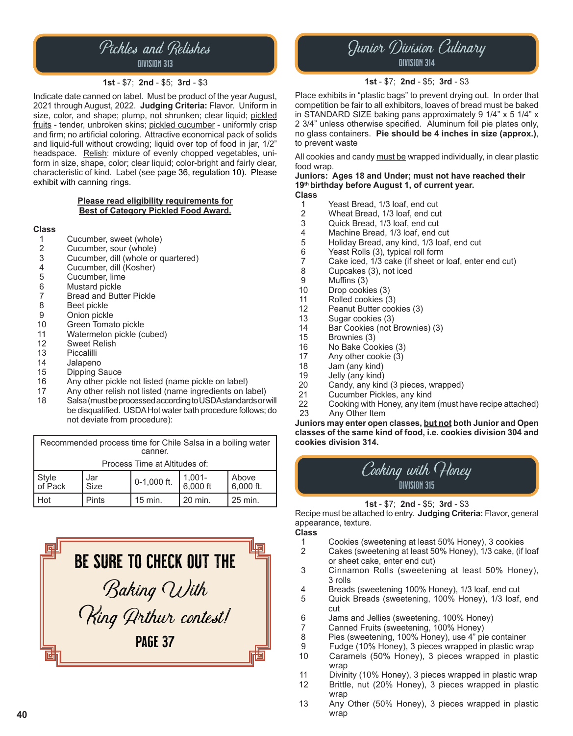### Pickles and Relishes division 313

#### **1st** - \$7; **2nd** - \$5; **3rd** - \$3

Indicate date canned on label. Must be product of the year August, 2021 through August, 2022. **Judging Criteria:** Flavor. Uniform in size, color, and shape; plump, not shrunken; clear liquid; pickled fruits - tender, unbroken skins; pickled cucumber - uniformly crisp and firm; no artificial coloring. Attractive economical pack of solids and liquid-full without crowding; liquid over top of food in jar, 1/2" headspace. Relish: mixture of evenly chopped vegetables, uniform in size, shape, color; clear liquid; color-bright and fairly clear, characteristic of kind. Label (see page 36, regulation 10). Please exhibit with canning rings.

#### **Please read eligibility requirements for Best of Category Pickled Food Award.**

### **Class**

- 
- 1 Cucumber, sweet (whole)<br>2 Cucumber, sour (whole) 2 Cucumber, sour (whole)<br>3 Cucumber, dill (whole or
- 3 Cucumber, dill (whole or quartered)<br>4 Cucumber, dill (Kosher)
- 4 Cucumber, dill (Kosher)<br>5 Cucumber, lime
- 5 Cucumber, lime<br>6 Mustard pickle
- 6 Mustard pickle
- 7 Bread and Butter Pickle<br>8 Beet pickle
- 8 Beet pickle<br>9 Onion pickle
- 9 Onion pickle<br>10 Green Tomat
- 10 Green Tomato pickle<br>11 Watermelon pickle (c
- 11 Watermelon pickle (cubed)<br>12 Sweet Relish
- **Sweet Relish**
- 
- 13 Piccalilli<br>14 Jalapeno
- 14 Jalapeno<br>15 Dipping S
- 15 Dipping Sauce<br>16 Any other pickle 16 Any other pickle not listed (name pickle on label)<br>17 Any other relish not listed (name ingredients on la
- 17 Any other relish not listed (name ingredients on label)<br>18 Salsa (must be processed according to USDA standards or v
- Salsa (must be processed according to USDA standards or will be disqualified. USDA Hot water bath procedure follows; do not deviate from procedure):

| Recommended process time for Chile Salsa in a boiling water<br>canner. |             |             |                                                          |                    |  |
|------------------------------------------------------------------------|-------------|-------------|----------------------------------------------------------|--------------------|--|
| Process Time at Altitudes of:                                          |             |             |                                                          |                    |  |
| Style<br>  of Pack                                                     | Jar<br>Size | 0-1,000 ft. | $\begin{array}{c} 1,001 \\ 6,000 \text{ ft} \end{array}$ | Above<br>6,000 ft. |  |
| l Hot<br><b>Pints</b>                                                  |             | 15 min.     | 20 min.                                                  | 25 min.            |  |



### Junior Division Culinary division 314

#### **1st** - \$7; **2nd** - \$5; **3rd** - \$3

Place exhibits in "plastic bags" to prevent drying out. In order that competition be fair to all exhibitors, loaves of bread must be baked in STANDARD SIZE baking pans approximately 9 1/4" x 5 1/4" x 2 3/4" unless otherwise specified. Aluminum foil pie plates only, no glass containers. **Pie should be 4 inches in size (approx.)**, to prevent waste

All cookies and candy must be wrapped individually, in clear plastic food wrap.

**Juniors: Ages 18 and Under; must not have reached their 19th birthday before August 1, of current year. Class**

- - 1 Yeast Bread, 1/3 loaf, end cut<br>2 Wheat Bread, 1/3 loaf, end cu
	- 2 Wheat Bread, 1/3 loaf, end cut<br>3 Quick Bread, 1/3 loaf, end cut
	- 3 Quick Bread, 1/3 loaf, end cut<br>4 Machine Bread, 1/3 loaf, end c
	- 4 Machine Bread, 1/3 loaf, end cut<br>5 Holiday Bread, any kind, 1/3 loaf,
	- 5 Holiday Bread, any kind, 1/3 loaf, end cut
	- 6 Yeast Rolls (3), typical roll form
	- 7 Cake iced, 1/3 cake (if sheet or loaf, enter end cut)
	- 8 Cupcakes (3), not iced<br>9 Muffins (3)
- 9 Muffins (3)<br>10 Drop cooki
- 10 Drop cookies (3)<br>11 Rolled cookies (3)
- 11 Rolled cookies (3)<br>12 Peanut Butter cool
- 12 Peanut Butter cookies (3)<br>13 Sugar cookies (3)
- 13 Sugar cookies (3)<br>14 Bar Cookies (not b
- 14 Bar Cookies (not Brownies) (3)<br>15 Brownies (3)
- 15 Brownies (3)<br>16 No Bake Coo
- 16 No Bake Cookies (3)<br>17 Any other cookie (3)
- 17 Any other cookie  $(3)$ <br>18 Jam (any kind)
- 18 Jam (any kind)<br>19 Jelly (any kind)
- 19 Jelly (any kind)<br>20 Candy, any king
- 20 Candy, any kind (3 pieces, wrapped)<br>21 Cucumber Pickles, any kind
- 21 Cucumber Pickles, any kind<br>22 Cooking with Honey, any item
- 22 Cooking with Honey, any item (must have recipe attached)<br>23 Any Other Item Any Other Item

**Juniors may enter open classes, but not both Junior and Open classes of the same kind of food, i.e. cookies division 304 and cookies division 314.**



**1st** - \$7; **2nd** - \$5; **3rd** - \$3

Recipe must be attached to entry. **Judging Criteria:** Flavor, general appearance, texture.

**Class**

- 1 Cookies (sweetening at least 50% Honey), 3 cookies
- Cakes (sweetening at least 50% Honey), 1/3 cake, (if loaf or sheet cake, enter end cut)
- 3 Cinnamon Rolls (sweetening at least 50% Honey), 3 rolls<br>4 Breads
- 4 Breads (sweetening 100% Honey), 1/3 loaf, end cut
- Quick Breads (sweetening, 100% Honey), 1/3 loaf, end cut<br>6 Jan
- 6 Jams and Jellies (sweetening, 100% Honey)
- 7 Canned Fruits (sweetening, 100% Honey)<br>8 Pies (sweetening, 100% Honey), use 4" pi
- 8 Pies (sweetening, 100% Honey), use 4" pie container
- 9 Fudge (10% Honey), 3 pieces wrapped in plastic wrap
- Caramels (50% Honey), 3 pieces wrapped in plastic wrap<br>11 Divini
- 11 Divinity (10% Honey), 3 pieces wrapped in plastic wrap
- Brittle, nut (20% Honey), 3 pieces wrapped in plastic wran
- 13 Any Other (50% Honey), 3 pieces wrapped in plastic wrap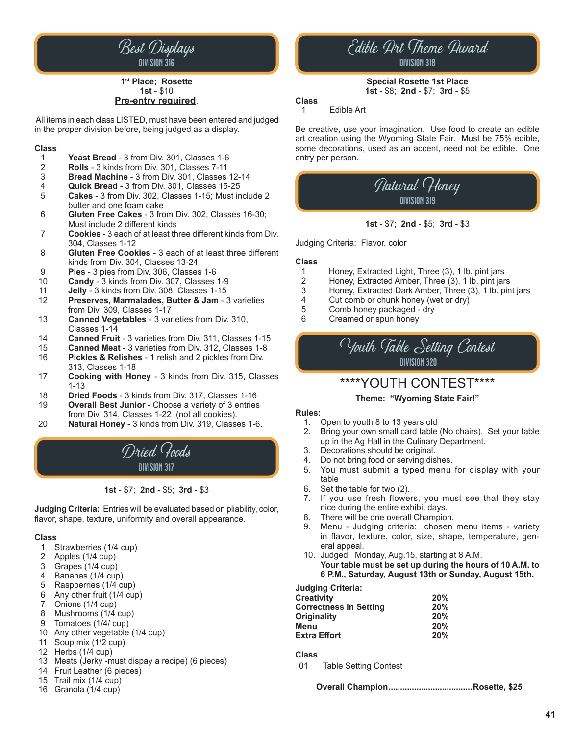

#### **1st Place; Rosette 1st** - \$10 **Pre-entry required**.

 All items in each class LISTED, must have been entered and judged in the proper division before, being judged as a display.

### **Class**

- 1 **Yeast Bread** 3 from Div. 301, Classes 1-6
- 2 **Rolls** 3 kinds from Div. 301, Classes 7-11
- 3 **Bread Machine** 3 from Div. 301, Classes 12-14
- 4 **Quick Bread** 3 from Div. 301, Classes 15-25
- 5 **Cakes** 3 from Div. 302, Classes 1-15; Must include 2 butter and one foam cake<br>6 **Gluten Free Cakes** - 3 fro
- 6 **Gluten Free Cakes** 3 from Div. 302, Classes 16-30; Must include 2 different kinds
- 7 **Cookies** 3 each of at least three different kinds from Div. 304, Classes 1-12
- 8 **Gluten Free Cookies** 3 each of at least three different kinds from Div. 304, Classes 13-24<br>**Pies** - 3 pies from Div. 306, Classes
- 9 **Pies** 3 pies from Div. 306, Classes 1-6
- 10 **Candy** 3 kinds from Div. 307, Classes 1-9
- 11 **Jelly 3 kinds from Div. 308, Classes 1-15**<br>12 **Preserves, Marmalades, Butter & Jam 3**
- Preserves, Marmalades, Butter & Jam 3 varieties from Div. 309, Classes 1-17<br>13 **Canned Vegetables - 3 var**
- 13 **Canned Vegetables** 3 varieties from Div. 310, Classes 1-14<br>**Canned Fruit**
- 14 **Canned Fruit** 3 varieties from Div. 311, Classes 1-15
- 15 **Canned Meat** 3 varieties from Div. 312, Classes 1-8
- Pickles & Relishes 1 relish and 2 pickles from Div. 313, Classes 1-18<br>**Cooking with Ho**
- 17 **Cooking with Honey** 3 kinds from Div. 315, Classes 1-13<br>18 **Drie**
- **Dried Foods** 3 kinds from Div. 317, Classes 1-16
- 19 **Overall Best Junior** Choose a variety of 3 entries from Div. 314, Classes 1-22 (not all cookies).
- 20 **Natural Honey** 3 kinds from Div. 319, Classes 1-6.



#### **1st** - \$7; **2nd** - \$5; **3rd** - \$3

**Judging Criteria:** Entries will be evaluated based on pliability, color, flavor, shape, texture, uniformity and overall appearance.

### **Class**

- 1 Strawberries (1/4 cup)<br>2 Apples (1/4 cup)
- Apples (1/4 cup)
- 3 Grapes (1/4 cup)
- 4 Bananas (1/4 cup)
- 5 Raspberries (1/4 cup)
- 6 Any other fruit (1/4 cup)
- 7 Onions (1/4 cup)<br>8 Mushrooms (1/4
- Mushrooms (1/4 cup)
- 9 Tomatoes (1/4/ cup)
- 10 Any other vegetable (1/4 cup)
- 11 Soup mix (1/2 cup)
- 12 Herbs (1/4 cup)
- 13 Meats (Jerky -must dispay a recipe) (6 pieces)
- 14 Fruit Leather (6 pieces)
- 15 Trail mix (1/4 cup)
- 16 Granola (1/4 cup)

### Edible Art Theme Award division 318

**Special Rosette 1st Place 1st** - \$8; **2nd** - \$7; **3rd** - \$5

#### **Class**

1 Edible Art

Be creative, use your imagination. Use food to create an edible art creation using the Wyoming State Fair. Must be 75% edible, some decorations, used as an accent, need not be edible. One entry per person.

### Natural Honey division 319

#### **1st** - \$7; **2nd** - \$5; **3rd** - \$3

Judging Criteria: Flavor, color

#### **Class**

- 1 Honey, Extracted Light, Three (3), 1 lb. pint jars
- 2 Honey, Extracted Amber, Three (3), 1 lb. pint jars
- 3 Honey, Extracted Dark Amber, Three (3), 1 lb. pint jars
- 4 Cut comb or chunk honey (wet or dry)<br>5 Comb honey packaged dry
- 5 Comb honey packaged dry<br>6 Creamed or spun honey
- 6 Creamed or spun honey



### \*\*\*\*YOUTH CONTEST\*\*\*\*

#### **Theme: "Wyoming State Fair!"**

#### **Rules:**

- 1. Open to youth 8 to 13 years old
- 2. Bring your own small card table (No chairs). Set your table up in the Ag Hall in the Culinary Department.<br>3. Decorations should be original.
- Decorations should be original.
- 4. Do not bring food or serving dishes.<br>5. You must submit a typed menu
- You must submit a typed menu for display with your table<br>6 Set th
- Set the table for two (2).
- 7. If you use fresh flowers, you must see that they stay nice during the entire exhibit days.
- 8. There will be one overall Champion.
- 9. Menu Judging criteria: chosen menu items variety in flavor, texture, color, size, shape, temperature, gen eral appeal.
- 10. Judged: Monday, Aug.15, starting at 8 A.M.  **Your table must be set up during the hours of 10 A.M. to 6 P.M., Saturday, August 13th or Sunday, August 15th.**

#### **Judging Criteria:**

| Creativitv             | 20% |  |
|------------------------|-----|--|
| Correctness in Setting | 20% |  |
| Originality            | 20% |  |
| Menu                   | 20% |  |
| <b>Extra Effort</b>    | 20% |  |

**Class**

01 Table Setting Contest

**Overall Champion....................................Rosette, \$25**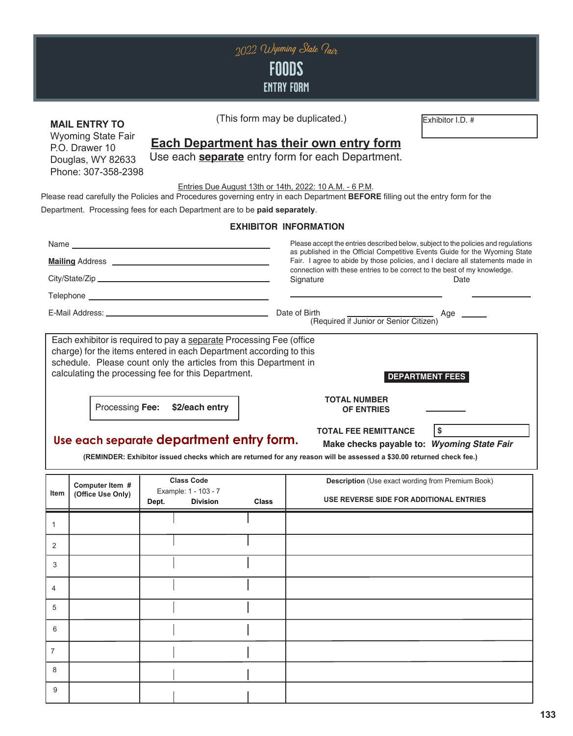| 2022 Wyoming State Pair<br>FOODS<br><b>ENTRY FORM</b>                                                                                                                                                                                                                                                           |                                                                                                                                                                                                                                                                                                                       |                                                                       |              |                                                                                                                                                                                                                                                                                                                                 |                                                                                                     |  |  |  |
|-----------------------------------------------------------------------------------------------------------------------------------------------------------------------------------------------------------------------------------------------------------------------------------------------------------------|-----------------------------------------------------------------------------------------------------------------------------------------------------------------------------------------------------------------------------------------------------------------------------------------------------------------------|-----------------------------------------------------------------------|--------------|---------------------------------------------------------------------------------------------------------------------------------------------------------------------------------------------------------------------------------------------------------------------------------------------------------------------------------|-----------------------------------------------------------------------------------------------------|--|--|--|
|                                                                                                                                                                                                                                                                                                                 | <b>MAIL ENTRY TO</b><br><b>Wyoming State Fair</b><br>P.O. Drawer 10<br>Douglas, WY 82633<br>Phone: 307-358-2398                                                                                                                                                                                                       |                                                                       |              | (This form may be duplicated.)<br><b>Each Department has their own entry form</b><br>Use each <b>separate</b> entry form for each Department.                                                                                                                                                                                   | Exhibitor I.D. #                                                                                    |  |  |  |
|                                                                                                                                                                                                                                                                                                                 | Entries Due August 13th or 14th, 2022: 10 A.M. - 6 P.M.<br>Please read carefully the Policies and Procedures governing entry in each Department BEFORE filling out the entry form for the<br>Department. Processing fees for each Department are to be paid separately.                                               |                                                                       |              |                                                                                                                                                                                                                                                                                                                                 |                                                                                                     |  |  |  |
|                                                                                                                                                                                                                                                                                                                 |                                                                                                                                                                                                                                                                                                                       |                                                                       |              | <b>EXHIBITOR INFORMATION</b>                                                                                                                                                                                                                                                                                                    |                                                                                                     |  |  |  |
|                                                                                                                                                                                                                                                                                                                 |                                                                                                                                                                                                                                                                                                                       |                                                                       |              | Please accept the entries described below, subject to the policies and regulations<br>as published in the Official Competitive Events Guide for the Wyoming State<br>Fair. I agree to abide by those policies, and I declare all statements made in<br>connection with these entries to be correct to the best of my knowledge. |                                                                                                     |  |  |  |
|                                                                                                                                                                                                                                                                                                                 |                                                                                                                                                                                                                                                                                                                       |                                                                       |              | Signature                                                                                                                                                                                                                                                                                                                       | Date                                                                                                |  |  |  |
|                                                                                                                                                                                                                                                                                                                 |                                                                                                                                                                                                                                                                                                                       |                                                                       |              | irth<br>(Required if Junior or Senior Citizen)                                                                                                                                                                                                                                                                                  | Age ______                                                                                          |  |  |  |
|                                                                                                                                                                                                                                                                                                                 | Each exhibitor is required to pay a separate Processing Fee (office<br>charge) for the items entered in each Department according to this<br>schedule. Please count only the articles from this Department in<br>calculating the processing fee for this Department.<br><b>DEPARTMENT FEES</b><br><b>TOTAL NUMBER</b> |                                                                       |              |                                                                                                                                                                                                                                                                                                                                 |                                                                                                     |  |  |  |
| Processing Fee:<br>\$2/each entry<br><b>OF ENTRIES</b><br>l \$<br><b>TOTAL FEE REMITTANCE</b><br>Use each separate department entry form.<br>Make checks payable to: Wyoming State Fair<br>(REMINDER: Exhibitor issued checks which are returned for any reason will be assessed a \$30.00 returned check fee.) |                                                                                                                                                                                                                                                                                                                       |                                                                       |              |                                                                                                                                                                                                                                                                                                                                 |                                                                                                     |  |  |  |
| Item                                                                                                                                                                                                                                                                                                            | Computer Item #<br>(Office Use Only)                                                                                                                                                                                                                                                                                  | <b>Class Code</b><br>Example: 1 - 103 - 7<br><b>Division</b><br>Dept. | <b>Class</b> |                                                                                                                                                                                                                                                                                                                                 | <b>Description</b> (Use exact wording from Premium Book)<br>USE REVERSE SIDE FOR ADDITIONAL ENTRIES |  |  |  |
| $\mathbf{1}$                                                                                                                                                                                                                                                                                                    |                                                                                                                                                                                                                                                                                                                       |                                                                       |              |                                                                                                                                                                                                                                                                                                                                 |                                                                                                     |  |  |  |
| 2                                                                                                                                                                                                                                                                                                               |                                                                                                                                                                                                                                                                                                                       |                                                                       |              |                                                                                                                                                                                                                                                                                                                                 |                                                                                                     |  |  |  |
| 3                                                                                                                                                                                                                                                                                                               |                                                                                                                                                                                                                                                                                                                       |                                                                       |              |                                                                                                                                                                                                                                                                                                                                 |                                                                                                     |  |  |  |
| 4                                                                                                                                                                                                                                                                                                               |                                                                                                                                                                                                                                                                                                                       |                                                                       |              |                                                                                                                                                                                                                                                                                                                                 |                                                                                                     |  |  |  |
| 5                                                                                                                                                                                                                                                                                                               |                                                                                                                                                                                                                                                                                                                       |                                                                       |              |                                                                                                                                                                                                                                                                                                                                 |                                                                                                     |  |  |  |
| 6                                                                                                                                                                                                                                                                                                               |                                                                                                                                                                                                                                                                                                                       |                                                                       |              |                                                                                                                                                                                                                                                                                                                                 |                                                                                                     |  |  |  |
| $\overline{7}$                                                                                                                                                                                                                                                                                                  |                                                                                                                                                                                                                                                                                                                       |                                                                       |              |                                                                                                                                                                                                                                                                                                                                 |                                                                                                     |  |  |  |
| 8                                                                                                                                                                                                                                                                                                               |                                                                                                                                                                                                                                                                                                                       |                                                                       |              |                                                                                                                                                                                                                                                                                                                                 |                                                                                                     |  |  |  |
| 9                                                                                                                                                                                                                                                                                                               |                                                                                                                                                                                                                                                                                                                       |                                                                       |              |                                                                                                                                                                                                                                                                                                                                 |                                                                                                     |  |  |  |